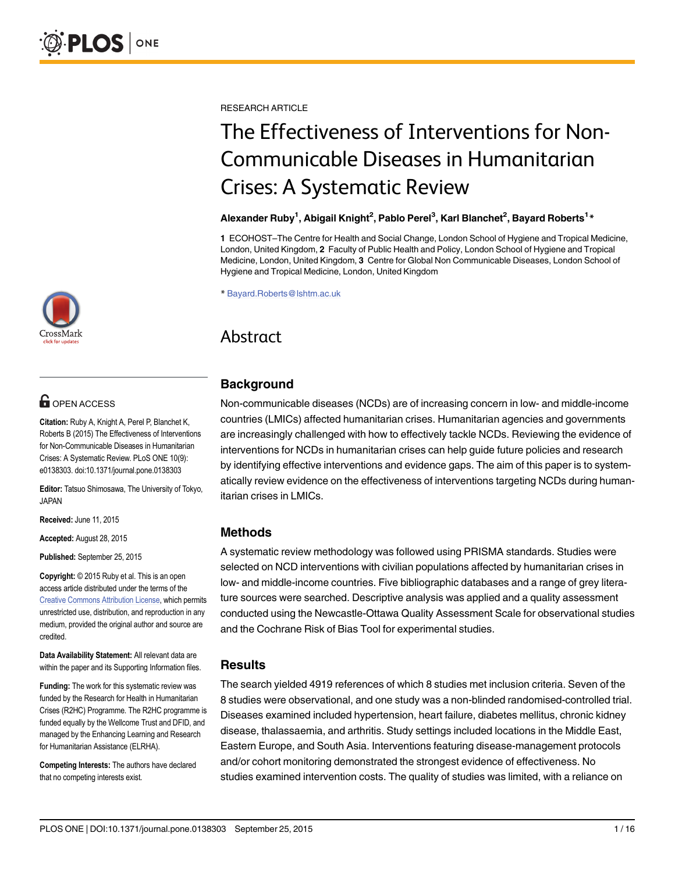

# **G** OPEN ACCESS

Citation: Ruby A, Knight A, Perel P, Blanchet K, Roberts B (2015) The Effectiveness of Interventions for Non-Communicable Diseases in Humanitarian Crises: A Systematic Review. PLoS ONE 10(9): e0138303. doi:10.1371/journal.pone.0138303

Editor: Tatsuo Shimosawa, The University of Tokyo, JAPAN

Received: June 11, 2015

Accepted: August 28, 2015

Published: September 25, 2015

Copyright: © 2015 Ruby et al. This is an open access article distributed under the terms of the [Creative Commons Attribution License,](http://creativecommons.org/licenses/by/4.0/) which permits unrestricted use, distribution, and reproduction in any medium, provided the original author and source are credited.

Data Availability Statement: All relevant data are within the paper and its Supporting Information files.

Funding: The work for this systematic review was funded by the Research for Health in Humanitarian Crises (R2HC) Programme. The R2HC programme is funded equally by the Wellcome Trust and DFID, and managed by the Enhancing Learning and Research for Humanitarian Assistance (ELRHA).

Competing Interests: The authors have declared that no competing interests exist.

RESEARCH ARTICLE

# The Effectiveness of Interventions for Non-Communicable Diseases in Humanitarian Crises: A Systematic Review

#### Alexander Ruby<sup>1</sup>, Abigail Knight<sup>2</sup>, Pablo Perel<sup>3</sup>, Karl Blanchet<sup>2</sup>, Bayard Roberts<sup>1</sup>\*

1 ECOHOST–The Centre for Health and Social Change, London School of Hygiene and Tropical Medicine, London, United Kingdom, 2 Faculty of Public Health and Policy, London School of Hygiene and Tropical Medicine, London, United Kingdom, 3 Centre for Global Non Communicable Diseases, London School of Hygiene and Tropical Medicine, London, United Kingdom

\* Bayard.Roberts@lshtm.ac.uk

# Abstract

# Background

Non-communicable diseases (NCDs) are of increasing concern in low- and middle-income countries (LMICs) affected humanitarian crises. Humanitarian agencies and governments are increasingly challenged with how to effectively tackle NCDs. Reviewing the evidence of interventions for NCDs in humanitarian crises can help guide future policies and research by identifying effective interventions and evidence gaps. The aim of this paper is to systematically review evidence on the effectiveness of interventions targeting NCDs during humanitarian crises in LMICs.

# Methods

A systematic review methodology was followed using PRISMA standards. Studies were selected on NCD interventions with civilian populations affected by humanitarian crises in low- and middle-income countries. Five bibliographic databases and a range of grey literature sources were searched. Descriptive analysis was applied and a quality assessment conducted using the Newcastle-Ottawa Quality Assessment Scale for observational studies and the Cochrane Risk of Bias Tool for experimental studies.

# Results

The search yielded 4919 references of which 8 studies met inclusion criteria. Seven of the 8 studies were observational, and one study was a non-blinded randomised-controlled trial. Diseases examined included hypertension, heart failure, diabetes mellitus, chronic kidney disease, thalassaemia, and arthritis. Study settings included locations in the Middle East, Eastern Europe, and South Asia. Interventions featuring disease-management protocols and/or cohort monitoring demonstrated the strongest evidence of effectiveness. No studies examined intervention costs. The quality of studies was limited, with a reliance on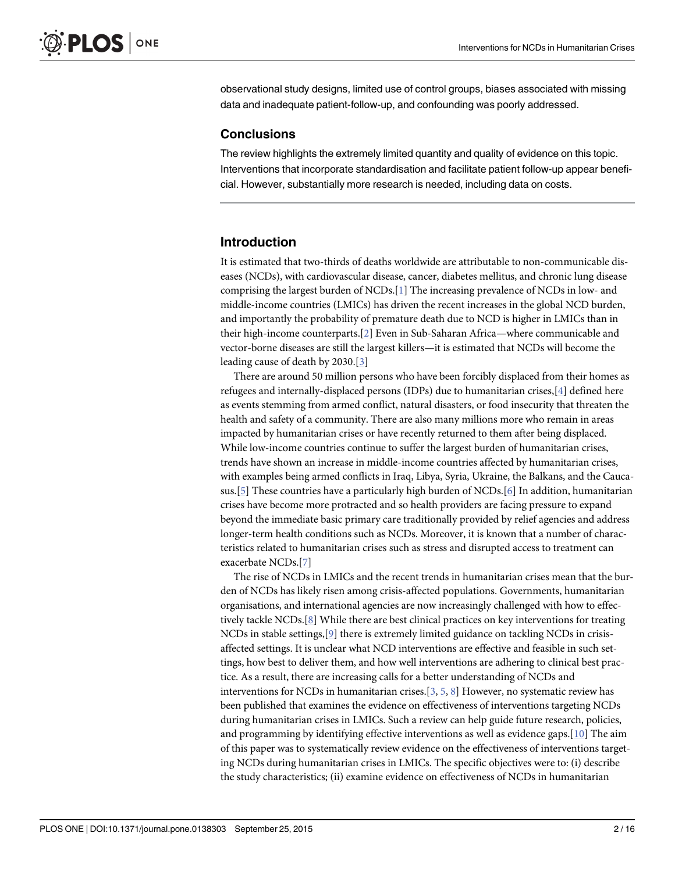<span id="page-1-0"></span>observational study designs, limited use of control groups, biases associated with missing data and inadequate patient-follow-up, and confounding was poorly addressed.

#### **Conclusions**

The review highlights the extremely limited quantity and quality of evidence on this topic. Interventions that incorporate standardisation and facilitate patient follow-up appear beneficial. However, substantially more research is needed, including data on costs.

# Introduction

It is estimated that two-thirds of deaths worldwide are attributable to non-communicable diseases (NCDs), with cardiovascular disease, cancer, diabetes mellitus, and chronic lung disease comprising the largest burden of NCDs.[[1](#page-13-0)] The increasing prevalence of NCDs in low- and middle-income countries (LMICs) has driven the recent increases in the global NCD burden, and importantly the probability of premature death due to NCD is higher in LMICs than in their high-income counterparts.[\[2](#page-13-0)] Even in Sub-Saharan Africa—where communicable and vector-borne diseases are still the largest killers—it is estimated that NCDs will become the leading cause of death by 2030.[[3\]](#page-13-0)

There are around 50 million persons who have been forcibly displaced from their homes as refugees and internally-displaced persons (IDPs) due to humanitarian crises,[\[4](#page-13-0)] defined here as events stemming from armed conflict, natural disasters, or food insecurity that threaten the health and safety of a community. There are also many millions more who remain in areas impacted by humanitarian crises or have recently returned to them after being displaced. While low-income countries continue to suffer the largest burden of humanitarian crises, trends have shown an increase in middle-income countries affected by humanitarian crises, with examples being armed conflicts in Iraq, Libya, Syria, Ukraine, the Balkans, and the Caucasus.[\[5\]](#page-13-0) These countries have a particularly high burden of NCDs.[\[6](#page-13-0)] In addition, humanitarian crises have become more protracted and so health providers are facing pressure to expand beyond the immediate basic primary care traditionally provided by relief agencies and address longer-term health conditions such as NCDs. Moreover, it is known that a number of characteristics related to humanitarian crises such as stress and disrupted access to treatment can exacerbate NCDs.[[7](#page-13-0)]

The rise of NCDs in LMICs and the recent trends in humanitarian crises mean that the burden of NCDs has likely risen among crisis-affected populations. Governments, humanitarian organisations, and international agencies are now increasingly challenged with how to effectively tackle NCDs.[[8](#page-13-0)] While there are best clinical practices on key interventions for treating NCDs in stable settings,[\[9\]](#page-13-0) there is extremely limited guidance on tackling NCDs in crisisaffected settings. It is unclear what NCD interventions are effective and feasible in such settings, how best to deliver them, and how well interventions are adhering to clinical best practice. As a result, there are increasing calls for a better understanding of NCDs and interventions for NCDs in humanitarian crises.[ $3, 5, 8$  $3, 5, 8$  $3, 5, 8$ ] However, no systematic review has been published that examines the evidence on effectiveness of interventions targeting NCDs during humanitarian crises in LMICs. Such a review can help guide future research, policies, and programming by identifying effective interventions as well as evidence gaps.[[10](#page-13-0)] The aim of this paper was to systematically review evidence on the effectiveness of interventions targeting NCDs during humanitarian crises in LMICs. The specific objectives were to: (i) describe the study characteristics; (ii) examine evidence on effectiveness of NCDs in humanitarian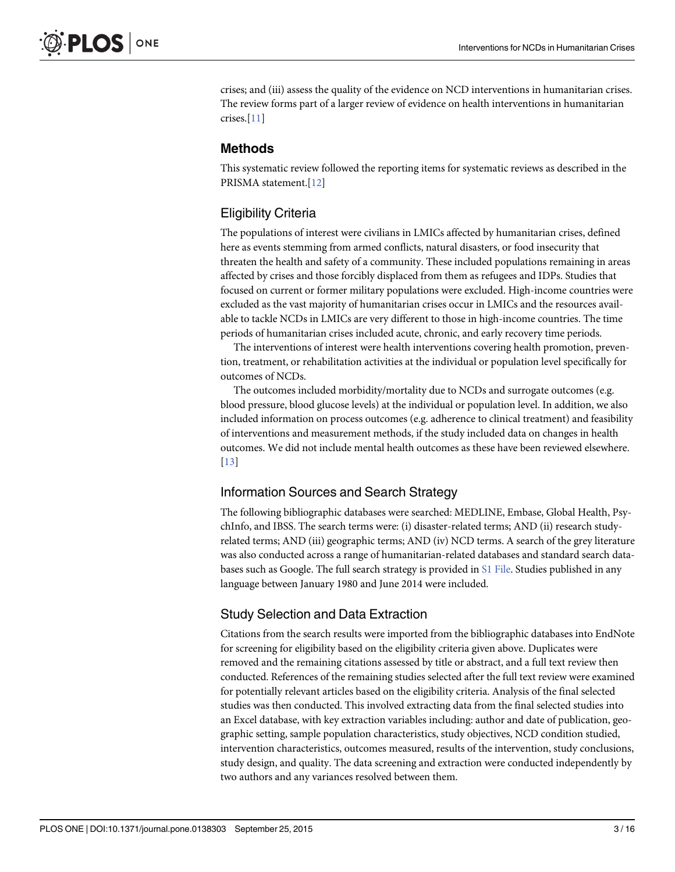<span id="page-2-0"></span>crises; and (iii) assess the quality of the evidence on NCD interventions in humanitarian crises. The review forms part of a larger review of evidence on health interventions in humanitarian crises.[[11](#page-13-0)]

#### Methods

This systematic review followed the reporting items for systematic reviews as described in the PRISMA statement.[\[12\]](#page-13-0)

# Eligibility Criteria

The populations of interest were civilians in LMICs affected by humanitarian crises, defined here as events stemming from armed conflicts, natural disasters, or food insecurity that threaten the health and safety of a community. These included populations remaining in areas affected by crises and those forcibly displaced from them as refugees and IDPs. Studies that focused on current or former military populations were excluded. High-income countries were excluded as the vast majority of humanitarian crises occur in LMICs and the resources available to tackle NCDs in LMICs are very different to those in high-income countries. The time periods of humanitarian crises included acute, chronic, and early recovery time periods.

The interventions of interest were health interventions covering health promotion, prevention, treatment, or rehabilitation activities at the individual or population level specifically for outcomes of NCDs.

The outcomes included morbidity/mortality due to NCDs and surrogate outcomes (e.g. blood pressure, blood glucose levels) at the individual or population level. In addition, we also included information on process outcomes (e.g. adherence to clinical treatment) and feasibility of interventions and measurement methods, if the study included data on changes in health outcomes. We did not include mental health outcomes as these have been reviewed elsewhere. [\[13](#page-13-0)]

#### Information Sources and Search Strategy

The following bibliographic databases were searched: MEDLINE, Embase, Global Health, PsychInfo, and IBSS. The search terms were: (i) disaster-related terms; AND (ii) research studyrelated terms; AND (iii) geographic terms; AND (iv) NCD terms. A search of the grey literature was also conducted across a range of humanitarian-related databases and standard search databases such as Google. The full search strategy is provided in [S1 File](#page-12-0). Studies published in any language between January 1980 and June 2014 were included.

## Study Selection and Data Extraction

Citations from the search results were imported from the bibliographic databases into EndNote for screening for eligibility based on the eligibility criteria given above. Duplicates were removed and the remaining citations assessed by title or abstract, and a full text review then conducted. References of the remaining studies selected after the full text review were examined for potentially relevant articles based on the eligibility criteria. Analysis of the final selected studies was then conducted. This involved extracting data from the final selected studies into an Excel database, with key extraction variables including: author and date of publication, geographic setting, sample population characteristics, study objectives, NCD condition studied, intervention characteristics, outcomes measured, results of the intervention, study conclusions, study design, and quality. The data screening and extraction were conducted independently by two authors and any variances resolved between them.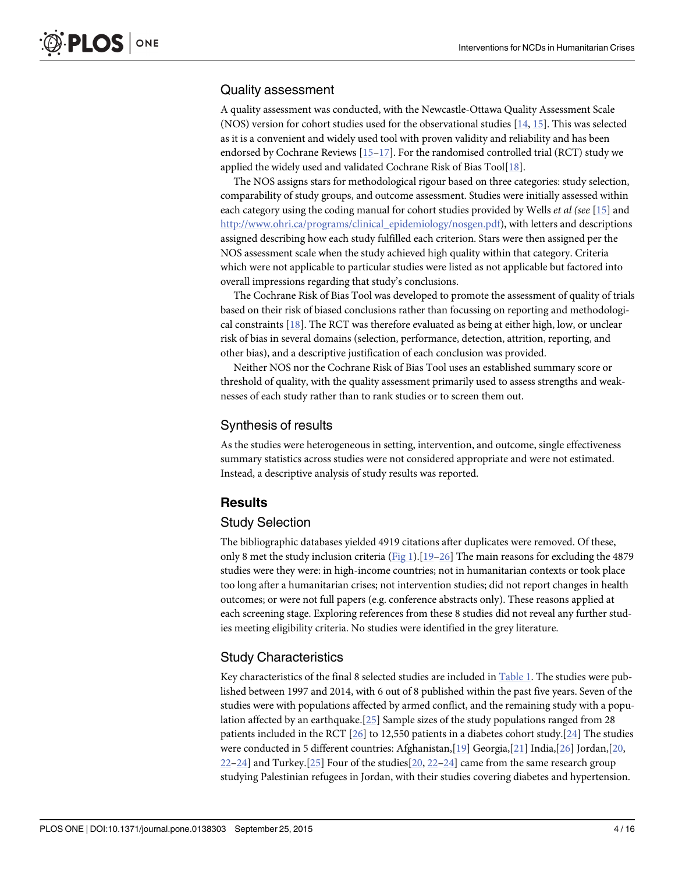#### <span id="page-3-0"></span>Quality assessment

A quality assessment was conducted, with the Newcastle-Ottawa Quality Assessment Scale (NOS) version for cohort studies used for the observational studies [\[14,](#page-13-0) [15](#page-13-0)]. This was selected as it is a convenient and widely used tool with proven validity and reliability and has been endorsed by Cochrane Reviews  $[15-17]$  $[15-17]$  $[15-17]$  $[15-17]$ . For the randomised controlled trial (RCT) study we applied the widely used and validated Cochrane Risk of Bias Tool[\[18](#page-13-0)].

The NOS assigns stars for methodological rigour based on three categories: study selection, comparability of study groups, and outcome assessment. Studies were initially assessed within each category using the coding manual for cohort studies provided by Wells *et al (see* [[15\]](#page-13-0) and [http://www.ohri.ca/programs/clinical\\_epidemiology/nosgen.pdf\)](http://www.ohri.ca/programs/clinical_epidemiology/nosgen.pdf), with letters and descriptions assigned describing how each study fulfilled each criterion. Stars were then assigned per the NOS assessment scale when the study achieved high quality within that category. Criteria which were not applicable to particular studies were listed as not applicable but factored into overall impressions regarding that study's conclusions.

The Cochrane Risk of Bias Tool was developed to promote the assessment of quality of trials based on their risk of biased conclusions rather than focussing on reporting and methodological constraints  $[18]$  $[18]$  $[18]$ . The RCT was therefore evaluated as being at either high, low, or unclear risk of bias in several domains (selection, performance, detection, attrition, reporting, and other bias), and a descriptive justification of each conclusion was provided.

Neither NOS nor the Cochrane Risk of Bias Tool uses an established summary score or threshold of quality, with the quality assessment primarily used to assess strengths and weaknesses of each study rather than to rank studies or to screen them out.

#### Synthesis of results

As the studies were heterogeneous in setting, intervention, and outcome, single effectiveness summary statistics across studies were not considered appropriate and were not estimated. Instead, a descriptive analysis of study results was reported.

# **Results**

#### Study Selection

The bibliographic databases yielded 4919 citations after duplicates were removed. Of these, only 8 met the study inclusion criteria ([Fig 1\)](#page-4-0).[[19](#page-13-0)–[26](#page-14-0)] The main reasons for excluding the 4879 studies were they were: in high-income countries; not in humanitarian contexts or took place too long after a humanitarian crises; not intervention studies; did not report changes in health outcomes; or were not full papers (e.g. conference abstracts only). These reasons applied at each screening stage. Exploring references from these 8 studies did not reveal any further studies meeting eligibility criteria. No studies were identified in the grey literature.

#### Study Characteristics

Key characteristics of the final 8 selected studies are included in [Table 1.](#page-5-0) The studies were published between 1997 and 2014, with 6 out of 8 published within the past five years. Seven of the studies were with populations affected by armed conflict, and the remaining study with a population affected by an earthquake.[\[25\]](#page-14-0) Sample sizes of the study populations ranged from 28 patients included in the RCT [[26](#page-14-0)] to 12,550 patients in a diabetes cohort study.[\[24\]](#page-14-0) The studies were conducted in 5 different countries: Afghanistan,[[19](#page-13-0)] Georgia,[\[21\]](#page-14-0) India,[[26\]](#page-14-0) Jordan,[[20](#page-14-0),  $22-24$  $22-24$  $22-24$ ] and Turkey.[\[25](#page-14-0)] Four of the studies[[20](#page-14-0),  $22-24$ ] came from the same research group studying Palestinian refugees in Jordan, with their studies covering diabetes and hypertension.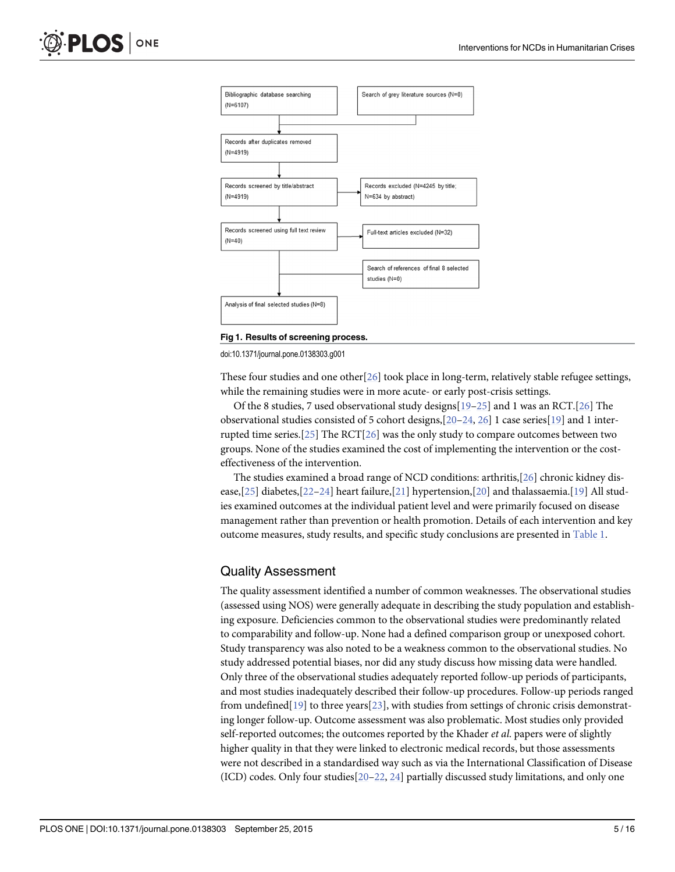<span id="page-4-0"></span>

#### [Fig 1. R](#page-3-0)esults of screening process.

doi:10.1371/journal.pone.0138303.g001

These four studies and one other[[26\]](#page-14-0) took place in long-term, relatively stable refugee settings, while the remaining studies were in more acute- or early post-crisis settings.

Of the 8 studies, 7 used observational study designs[[19](#page-13-0)–[25](#page-14-0)] and 1 was an RCT.[\[26](#page-14-0)] The observational studies consisted of 5 cohort designs,  $[20-24, 26]$  $[20-24, 26]$  $[20-24, 26]$  $[20-24, 26]$  $[20-24, 26]$  $[20-24, 26]$  $[20-24, 26]$  1 case series [[19](#page-13-0)] and 1 interrupted time series.[ $25$ ] The RCT[ $26$ ] was the only study to compare outcomes between two groups. None of the studies examined the cost of implementing the intervention or the costeffectiveness of the intervention.

The studies examined a broad range of NCD conditions: arthritis, [[26](#page-14-0)] chronic kidney disease,[[25\]](#page-14-0) diabetes,[\[22](#page-14-0)–[24](#page-14-0)] heart failure,[[21](#page-14-0)] hypertension,[[20\]](#page-14-0) and thalassaemia.[[19](#page-13-0)] All studies examined outcomes at the individual patient level and were primarily focused on disease management rather than prevention or health promotion. Details of each intervention and key outcome measures, study results, and specific study conclusions are presented in [Table 1](#page-5-0).

#### Quality Assessment

The quality assessment identified a number of common weaknesses. The observational studies (assessed using NOS) were generally adequate in describing the study population and establishing exposure. Deficiencies common to the observational studies were predominantly related to comparability and follow-up. None had a defined comparison group or unexposed cohort. Study transparency was also noted to be a weakness common to the observational studies. No study addressed potential biases, nor did any study discuss how missing data were handled. Only three of the observational studies adequately reported follow-up periods of participants, and most studies inadequately described their follow-up procedures. Follow-up periods ranged from undefined $[19]$  $[19]$  $[19]$  to three years $[23]$  $[23]$  $[23]$ , with studies from settings of chronic crisis demonstrating longer follow-up. Outcome assessment was also problematic. Most studies only provided self-reported outcomes; the outcomes reported by the Khader et al. papers were of slightly higher quality in that they were linked to electronic medical records, but those assessments were not described in a standardised way such as via the International Classification of Disease (ICD) codes. Only four studies  $[20-22, 24]$  $[20-22, 24]$  $[20-22, 24]$  $[20-22, 24]$  $[20-22, 24]$  $[20-22, 24]$  $[20-22, 24]$  partially discussed study limitations, and only one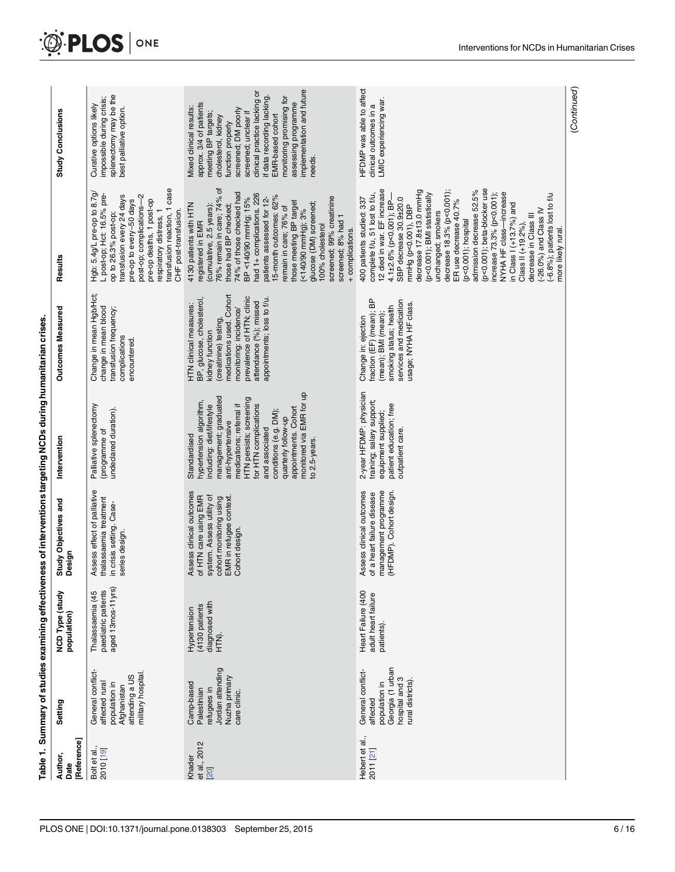| Reference]<br>Author,<br>Date              | Setting                                                                                                    | NCD Type (study<br>population)                               | Study Objectives and<br>Design                                                                                                                         | Intervention                                                                                                                                                                                                                                                                                                                              | <b>Outcomes Measured</b>                                                                                                                                                                                                                          | <b>Results</b>                                                                                                                                                                                                                                                                                                                                                                                                                                                                                                                                                                                                       | Study Conclusions                                                                                                                                                                                                                                                                                                                                |
|--------------------------------------------|------------------------------------------------------------------------------------------------------------|--------------------------------------------------------------|--------------------------------------------------------------------------------------------------------------------------------------------------------|-------------------------------------------------------------------------------------------------------------------------------------------------------------------------------------------------------------------------------------------------------------------------------------------------------------------------------------------|---------------------------------------------------------------------------------------------------------------------------------------------------------------------------------------------------------------------------------------------------|----------------------------------------------------------------------------------------------------------------------------------------------------------------------------------------------------------------------------------------------------------------------------------------------------------------------------------------------------------------------------------------------------------------------------------------------------------------------------------------------------------------------------------------------------------------------------------------------------------------------|--------------------------------------------------------------------------------------------------------------------------------------------------------------------------------------------------------------------------------------------------------------------------------------------------------------------------------------------------|
| Bolt et al.,<br>2010 [19]                  | General conflict-<br>military hospital<br>attending a US<br>affected rural<br>population in<br>Afghanistan | aged 13mos-11yrs)<br>paediatric patients<br>Thalassaemia (45 | Assess effect of palliative<br>thalassaemia treatment<br>in crisis setting. Case-<br>series design.                                                    | Palliative splenectomy<br>undeclared duration)<br>programme of                                                                                                                                                                                                                                                                            | Change in mean Hgb/Hct;<br>change in mean blood<br>transfusion frequency;<br>complications<br>encountered.                                                                                                                                        | transfusion reaction, 1 case<br>Hgb: 5.4g/L pre-op to 8.7g/<br>L post-op; Hct: 16.5% pre-<br>post-op; complications-2<br>transfusion every 24 days<br>pre-op deaths, 1 post-op<br>pre-op to every~50 days<br>CHF post-transfusion.<br>op to 26.3% post-op;<br>respiratory distress,                                                                                                                                                                                                                                                                                                                                  | splenectomy may be the<br>impossible during crisis;<br>Curative options likely<br>best palliative option.                                                                                                                                                                                                                                        |
| et al., 2012<br><b>Chader</b><br><b>02</b> | Jordan attending<br>Nuzha primary<br>Camp-based<br>refugees in<br>Palestinian<br>care clinic.              | diagnosed with<br>(4130 patients<br>Hypertension<br>HTN).    | Assess clinical outcomes<br>system. Assess utility of<br>of HTN care using EMR<br>EMR in refugee context.<br>cohort monitoring using<br>Cohort design. | monitored via EMR for up<br>management; graduated<br>HTN persists; screening<br>nypertension algorithm,<br>medications; referral if<br>for HTN complications<br>including: diet/lifestyle<br>appointments. Cohort<br>conditions (e.g. DM);<br>quarterly follow-up<br>anti-hypertensive<br>and associated<br>Standardised<br>to 2.5-years. | medications used. Cohort<br>prevalence of HTN; clinic<br>appointments; loss to f/u.<br>BP, glucose, cholesterol,<br>attendance (%); missed<br><b>HTN</b> clinical measures:<br>monitoring: incidence/<br>(creatinine) testing,<br>kidney function | 76% remain in care; 74% of<br>74% of those checked had<br>had 1+ complications. 226<br>5-month outcomes: 62%<br>screened; 99% creatinine<br>patients assessed for 12-<br>BP <140/90 mmHg; 15%<br>those meeting BP target<br>glucose (DM) screened;<br>those had BP checked;<br>4130 patients with HTN<br>cumulative, 2.5 years):<br>remain in care; 76% of<br><140/90 mmHg); 3%<br>screened; 8% had 1<br>registered in EMR<br>00% cholesterol<br>+ complications.                                                                                                                                                    | implementation and future<br>clinical practice lacking or<br>if data recording lacking.<br>monitoring promising for<br>assessing programme<br>approx. 3/4 of patients<br>Mixed clinical results:<br>screened; DM poorly<br>meeting BP targets;<br>screened; unclear if<br>EMR-based cohort<br>cholesterol, kidney<br>function properly<br>needs. |
| Hebert et al.,<br>2011 [21]                | Georgia (1 urban<br>General conflict-<br>hospital and 3<br>rural districts).<br>population in<br>affected  | Heart Failure (400<br>adult heart failure<br>patients).      | Assess clinical outcomes<br>management programme<br>(HFDMP). Cohort design.<br>of a heart failure disease                                              | 2-year HFDMP: physician<br>training; salary support;<br>patient education; free<br>equipment supplied;<br>outpatient care.                                                                                                                                                                                                                | fraction (EF) (mean); BP<br>services and medication<br>usage; NYHA HF class.<br>smoking status; health<br>(mean); BMI (mean);<br>Change in: ejection                                                                                              | p<0.001); beta-blocker use<br>decrease 18.3% (p<0.001);<br>12 died in war. EF increase<br>decrease $17.8 \pm 13.0$ mmHg<br>admission decrease 52.5%<br>increase 73.3% (p<0.001);<br>NYHA HF class-increase<br>p<0.001); BMI statistically<br>-6.8%); patients lost to f/u<br>complete f/u, 51 lost to f/u,<br>SBP decrease 30.9±20.0<br>400 patients studied: 337<br>ER use decrease 40.7%<br>4.1±2.6% (p<0.001); BP-<br>in Class I (+13.7%) and<br>mmHg (p<0.001), DBP<br>$(-26.0%)$ and Class IV<br>unchanged; smokers<br>decrease in Class III<br>(p<0.001); hospital<br>Class II (+19.2%),<br>more likely rural. | HFDMP was able to affect<br>LMIC experiencing war.<br>clinical outcomes in a                                                                                                                                                                                                                                                                     |

<span id="page-5-0"></span> $\mathcal{D}$  PLOS | ONE

(Continued)

(Continued)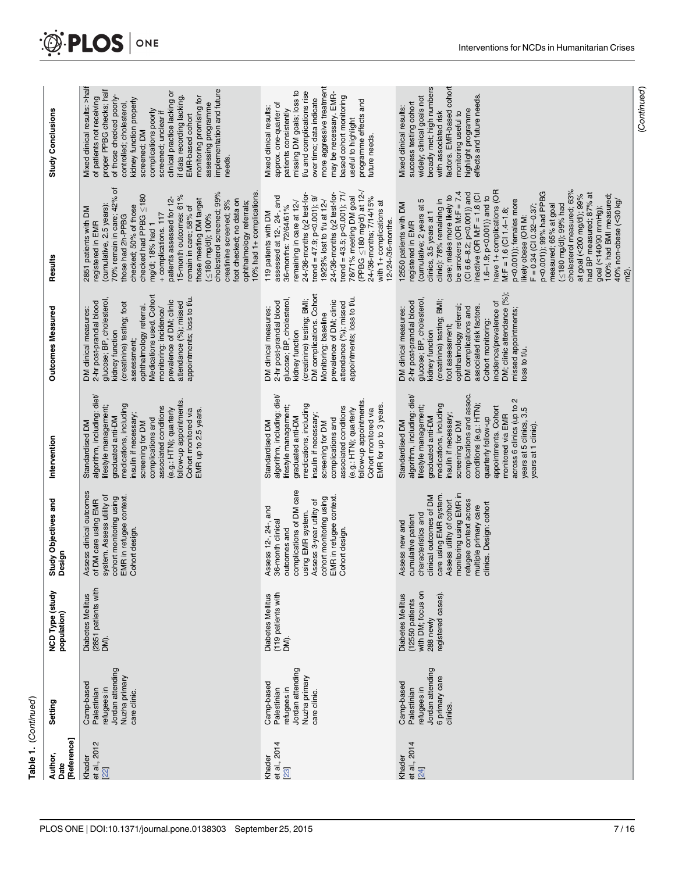| Study Conclusions              | Mixed clinical results: >half<br>of patients not receiving<br>proper PPBG checks; half<br>implementation and future<br>clinical practice lacking or<br>of those checked poorly-<br>if data recording lacking.<br>monitoring promising for<br>kidney function properly<br>controlled; cholesterol,<br>assessing programme<br>complications poorly<br>screened; unclear if<br>EMR-based cohort<br>screened; DM<br>needs.                                                                                       | more aggressive treatment<br>missing DM goals; loss to<br>f/u and complications rise<br>may be necessary. EMR-<br>based cohort monitoring<br>over time; data indicate<br>programme effects and<br>approx. one-quarter of<br>Mixed clinical results:<br>patients consistently<br>useful to highlight<br>future needs.                                                                                                              | broadly met; high numbers<br>factors. EMR-based cohort<br>highlight programme<br>effects and future needs.<br>widely; clinical goals not<br>success testing cohort<br>Mixed clinical results:<br>with associated risk<br>monitoring useful to                                                                                                                                                                                                                                                                                                                                                                                                                                    |
|--------------------------------|--------------------------------------------------------------------------------------------------------------------------------------------------------------------------------------------------------------------------------------------------------------------------------------------------------------------------------------------------------------------------------------------------------------------------------------------------------------------------------------------------------------|-----------------------------------------------------------------------------------------------------------------------------------------------------------------------------------------------------------------------------------------------------------------------------------------------------------------------------------------------------------------------------------------------------------------------------------|----------------------------------------------------------------------------------------------------------------------------------------------------------------------------------------------------------------------------------------------------------------------------------------------------------------------------------------------------------------------------------------------------------------------------------------------------------------------------------------------------------------------------------------------------------------------------------------------------------------------------------------------------------------------------------|
| Results                        | 70% remain in care; 42% of<br>10% had 1+ complications.<br>cholesterol screened; 99%<br>checked had PPBG $\leq$ 180<br>15-month outcomes: 61%<br>patients assessed for 12-<br>those meeting DM target<br>foot checked; no data on<br>creatinine screened; 3%<br>ophthalmology referrals;<br>(cumulative, 2.5 years):<br>checked; 50% of those<br>remain in care; 58% of<br>2851 patients with DM<br>+ complications. 117<br>those had 2h-PPBG<br>(≤180 mg/dl); 100%<br>registered in EMR<br>mg/dl; 18% had 1 | (PPBG ≤180 mg/dl) at 12-<br>trend = 43.5; $p < 0.001$ ); $71$<br>$24-736$ -months ( $\chi$ 2 test-for-<br>$24 - 736$ -months $(x2$ test-for-<br>assessed at 12-, 24-, and<br>78/71% meeting DM goal<br>24-/36-months; 7/14/15%<br>trend = $47.9$ ; $pc0.001$ ); $9/$<br>19/29% lost to f/u at 12-/<br>remaining in care at 12-/<br>with 1+ complications at<br>36-months: 72/64/61%<br>119 patients with DM<br>12-/24-/36-months. | cholesterol measured; 63%<br>have 1 + complications (OR<br>M:F = 1.6 (Cl 1.4-1.8;<br>p<0.001)); females more<br>p<0.001)); 99% had PPBG<br>be smokers (OR M:F $= 7.4$<br>(Cl 6.6–8.2; p<0.001)) and<br>had BP measured; 87% at<br>inactive (OR M:F = 1.8 (CI<br>1.6–1.9; p<0.001)) and to<br>100% had BMI measured;<br>care; males more likely to<br>cumulative; 2 years at 5<br>clinic): 78% remaining in<br>40% non-obese (<30 kg/<br>at goal (<200 mg/dl); 999<br>12550 patients with DM<br>(≤180 mg/dl); 99% had<br>$F = 0.34$ (CI 0.32-0.37<br>measured; 65% at goal<br>goal (<140/90 mmHg);<br>clinics, 3.5 years at 1<br>likely obese (OR M:<br>registered in EMR<br>m2). |
| Outcomes Measured              | Medications used. Cohor<br>appointments; loss to f/u.<br>2-hr post-prandial blood<br>glucose; BP, cholesterol<br>prevalence of DM; clinic<br>attendance (%); missed<br>(creatinine) testing; foot<br>ophthalmology referral.<br>monitoring: incidence/<br>DM clinical measures:<br>kidney function<br>assessment;                                                                                                                                                                                            | DM complications. Cohort<br>appointments; loss to f/u<br>glucose; BP, cholesterol,<br>(creatinine) testing; BMI;<br>prevalence of DM; clinic<br>2-hr post-prandial blood<br>attendance (%); missed<br>DM clinical measures:<br>Monitoring: baseline<br>kidney function                                                                                                                                                            | DM; clinic attendance (%);<br>(creatinine) testing; BMI;<br>2-hr post-prandial blood<br>glucose; BP, cholesterol<br>incidence/prevalence of<br>ophthalmology referral;<br>associated risk factors.<br>DM complications and<br>DM clinical measures:<br>missed appointments;<br>Cohort monitoring:<br>foot assessment;<br>kidney function<br>loss to f/u.                                                                                                                                                                                                                                                                                                                         |
| Intervention                   | algorithm, including: diet/<br>tollow-up appointments<br>Cohort monitored via<br>medications, including<br>lifestyle management;<br>associated conditions<br>(e.g.: HTN); quarterly<br>EMR up to 2.5 years<br>insulin if necessary;<br>graduated anti-DM<br>complications and<br>Standardised DM<br>screening for DM                                                                                                                                                                                         | algorithm, including: diet/<br>follow-up appointments<br>medications, including<br>EMR for up to 3 years.<br>lifestyle management<br>associated conditions<br>(e.g.: HTN); quarterly<br>Cohort monitored via<br>insulin if necessary;<br>graduated anti-DM<br>complications and<br>Standardised DM<br>screening for DM                                                                                                            | algorithm, including: diet/<br>complications and assoc<br>across 6 clinics (up to 2<br>medications, including<br>conditions (e.g.: HTN);<br>lifestyle management;<br>appointments. Cohort<br>years at 5 clinics, 3.5<br>years at 1 clinic).<br>insulin if necessary;<br>monitored via EMR<br>graduated anti-DM<br>quarterly follow-up<br>screening for DM<br>Standardised DM                                                                                                                                                                                                                                                                                                     |
| Study Objectives and<br>Design | Assess clinical outcomes<br>system. Assess utility of<br>EMR in refugee context<br>cohort monitoring using<br>of DM care using EMR<br>Cohort design.                                                                                                                                                                                                                                                                                                                                                         | complications of DM care<br>cohort monitoring using<br>EMR in refugee context<br>Assess 3-year utility of<br>Assess 12-, 24-, and<br>using EMR system.<br>36-month clinical<br>Cohort design.<br>outcomes and                                                                                                                                                                                                                     | monitoring using EMR in<br>care using EMR system<br>clinical outcomes of DM<br>refugee context across<br>Assess utility of cohort<br>clinics. Design: cohort<br>multiple primary care<br>characteristics and<br>cumulative patient<br>Assess new and                                                                                                                                                                                                                                                                                                                                                                                                                             |
| NCD Type (study<br>population) | (2851 patients with<br>Diabetes Mellitus<br>DM).                                                                                                                                                                                                                                                                                                                                                                                                                                                             | (119 patients with<br><b>Diabetes Mellitus</b><br>DM).                                                                                                                                                                                                                                                                                                                                                                            | with DM; focus on<br>registered cases)<br><b>Diabetes Mellitus</b><br>(12550 patients<br>288 newly                                                                                                                                                                                                                                                                                                                                                                                                                                                                                                                                                                               |
| Setting                        | Jordan attending<br>Nuzha primary<br>Camp-based<br>refugees in<br>Palestinian<br>care clinic.                                                                                                                                                                                                                                                                                                                                                                                                                | Jordan attending<br>Nuzha primary<br>Camp-based<br>Palestinian<br>refugees in<br>care clinic.                                                                                                                                                                                                                                                                                                                                     | Jordan attending<br>6 primary care<br>Camp-based<br>refugees in<br>Palestinian<br>clinics.                                                                                                                                                                                                                                                                                                                                                                                                                                                                                                                                                                                       |
| Reference<br>Author,<br>Date   | et al., 2012<br>Khader<br>22                                                                                                                                                                                                                                                                                                                                                                                                                                                                                 | et al., 2014<br>Khader<br>23                                                                                                                                                                                                                                                                                                                                                                                                      | et al., 2014<br>Khader<br>24                                                                                                                                                                                                                                                                                                                                                                                                                                                                                                                                                                                                                                                     |

Table 1. (Continued)

Table 1. (Continued)

(Continued)

(Continued)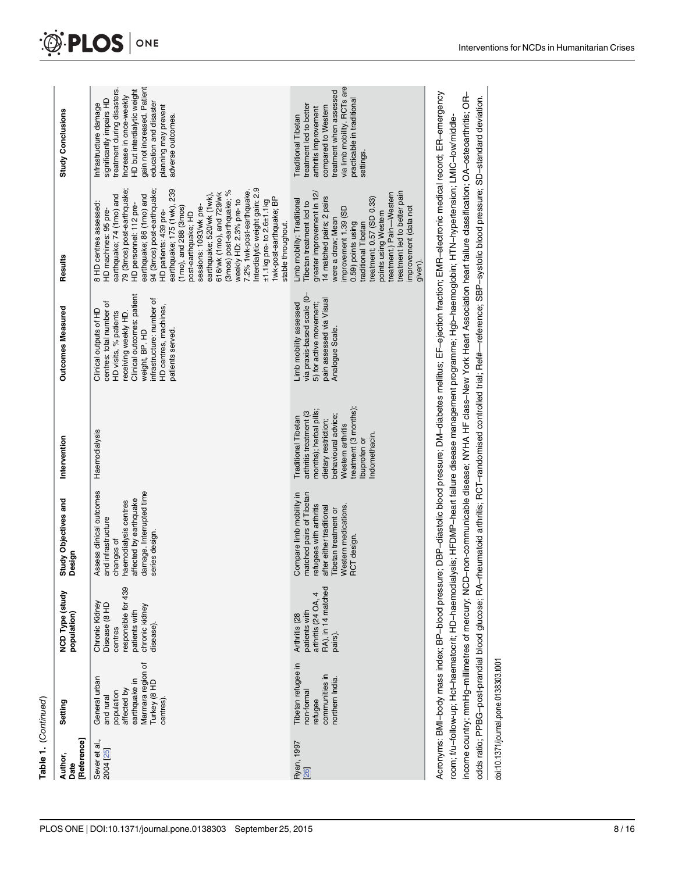| [Reference]<br>Author,<br>Date | Setting                                                                                                                    | NCD Type (study<br>population)                                                                                    | <b>Study Objectives and</b><br>Design                                                                                                                                                   | Intervention                                                                                                                                                                                                              | <b>Outcomes Measured</b>                                                                                                                                                                                                     | <b>Results</b>                                                                                                                                                                                                                                                                                                                                                                                                                                                                                                                                                                                                  | Study Conclusions                                                                                                                                                                                                                                |
|--------------------------------|----------------------------------------------------------------------------------------------------------------------------|-------------------------------------------------------------------------------------------------------------------|-----------------------------------------------------------------------------------------------------------------------------------------------------------------------------------------|---------------------------------------------------------------------------------------------------------------------------------------------------------------------------------------------------------------------------|------------------------------------------------------------------------------------------------------------------------------------------------------------------------------------------------------------------------------|-----------------------------------------------------------------------------------------------------------------------------------------------------------------------------------------------------------------------------------------------------------------------------------------------------------------------------------------------------------------------------------------------------------------------------------------------------------------------------------------------------------------------------------------------------------------------------------------------------------------|--------------------------------------------------------------------------------------------------------------------------------------------------------------------------------------------------------------------------------------------------|
| Sever et al.,<br>2004 [25]     | Marmara region of<br>General urban<br>earthquake in<br>Turkey (8 HD<br>affected by<br>population<br>and rural<br>centres). | responsible for 439<br>Chronic Kidney<br>Disease (8 HD<br>chronic kidney<br>patients with<br>disease).<br>centres | Assess clinical outcomes<br>damage. Interrupted time<br>affected by earthquake<br>naemodialysis centres<br>and infrastructure<br>series design.<br>thanges of                           | Haemodialysis                                                                                                                                                                                                             | Clinical outcomes: patient<br>nfrastructure: number of<br>centres: total number of<br>HD centres, machines,<br>Clinical outputs of HD<br>HD visits, % patients<br>receiving weekly HD.<br>weight, BP. HD<br>patients served. | Interdialytic weight gain: 2.9<br>79 (3mos) post-earthquake;<br>94 (3mos) post-earthquake;<br>earthquake; 175 (1wk), 239<br>(3mos) post-earthquake; %<br>7.2% 1wk-post-earthquake.<br>616/wk (1mo), and 729/wk<br>earthquake; 520/wk (1wk),<br>earthquake; 86 (1mo) and<br>earthquake; 74 (1mo) and<br>1wk-post-earthquake; BP<br>weekly HD: 2.3% pre- to<br>±1.1kg pre- to 2.6±1.1kg<br>8 HD centres assessed:<br>HD personnel: 112 pre-<br>sessions: 1093/wk pre-<br>$(1 \text{mo})$ , and 288 $(3 \text{mos})$<br>HD machines: 95 pre-<br>HD patients: 439 pre-<br>post-earthquake; HD<br>stable throughout. | gain not increased. Patient<br>treatment during disasters.<br>HD but interdialytic weight<br>Increase in once-weekly<br>significantly impairs HD<br>education and disaster<br>Infrastructure damage<br>planning may prevent<br>adverse outcomes. |
| Ryan, 1997<br>26               | Tibetan refugee in<br>communities in<br>northern India.<br>non-formal<br>refugee                                           | RA), in 14 matched<br>arthritis (24 OA, 4<br>patients with<br>Arthritis (28<br>pairs).                            | Compare limb mobility in<br>matched pairs of Tibetan<br>efugees with arthritis<br><b>Nestern medications.</b><br>after either traditional<br><b>Tibetan treatment or</b><br>RCT design. | treatment (3 months);<br>months); herbal pills;<br>arthritis treatment (3<br>behavioural advice;<br><b>Traditional Tibetan</b><br>dietary restriction;<br>Western arthritis<br><b>Indomethacin</b><br><b>Ibuprofen</b> or | via praxis-based scale (0-<br>pain assessed via Visual<br>Limb mobility assessed<br>5) for active movement;<br>Analogue Scale.                                                                                               | treatment.) Pain-Western<br>treatment led to better pain<br>greater improvement in 12<br>14 matched pairs; 2 pairs<br>treatment; 0.57 (SD 0.33)<br>Limb mobility: Traditional<br>Tibetan treatment led to<br>improvement 1.39 (SD<br>improvement (data not<br>points using Western<br>were a draw; Mean<br>0.59) points using<br>traditional Tibetan<br>given).                                                                                                                                                                                                                                                 | via limb mobility. RCTs are<br>treatment when assessed<br>practicable in traditional<br>treatment led to better<br>compared to Western<br>arthritis improvement<br><b>Traditional Tibetan</b><br>settings.                                       |
|                                |                                                                                                                            |                                                                                                                   |                                                                                                                                                                                         |                                                                                                                                                                                                                           |                                                                                                                                                                                                                              | Acronyms: BMI–body mass index; BP–blood pressure; DBP–diastolic blood pressure; DM–diabetes mellitus; EF–ejection fraction; EMR–electronic medical record; ER–emergency<br>income country; mmHg-millimetres of mercury; NCD-non-communicable disease; NYHA HF class-New York Heart Association heart failure classification; OA-osteoarthritis; OR-<br>room; f/u-follow-up; Hct-haematocrit; HD-haemodialysis; HFDMP-heart failure disease management programme; Hgb-haemoglobin; HTN-hypertension; LMIC-low/middle-                                                                                            |                                                                                                                                                                                                                                                  |

n des ratio; PPBG–post-prandial blood glucose; RA–rheumatoid arthritis; RCT–randomised controlled trial; Ref#—reference; SBP–systolic blood pressure; SD–standard deviation.<br>Odds ratio; PPBG–post-prandial blood glucose; RA

—reference; SBP–systolic blood pressure; SD–standard deviation.

odds ratio; PPBG–post-prandial blood glucose; RA–rheumatoid arthritis; RCT–randomised controlled trial; Ref#

doi:10.1371/journal.pone.0138303.t001

doi:10.1371/journal.pone.0138303.t001

Table 1. (Continued)

Table 1. (Continued)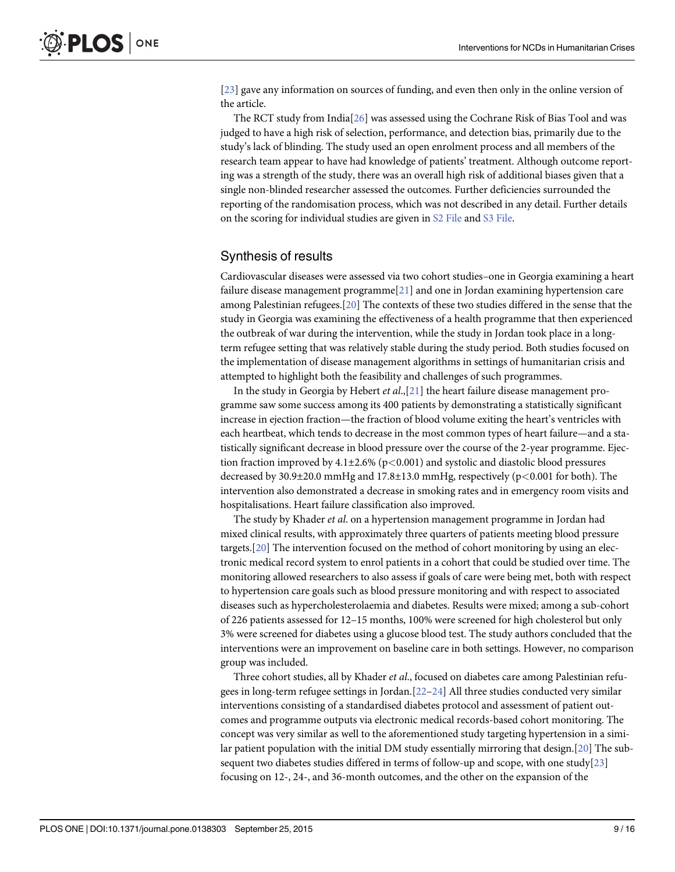[\[23](#page-14-0)] gave any information on sources of funding, and even then only in the online version of the article.

The RCT study from India[\[26\]](#page-14-0) was assessed using the Cochrane Risk of Bias Tool and was judged to have a high risk of selection, performance, and detection bias, primarily due to the study's lack of blinding. The study used an open enrolment process and all members of the research team appear to have had knowledge of patients' treatment. Although outcome reporting was a strength of the study, there was an overall high risk of additional biases given that a single non-blinded researcher assessed the outcomes. Further deficiencies surrounded the reporting of the randomisation process, which was not described in any detail. Further details on the scoring for individual studies are given in S<sub>2</sub> File and S<sub>3</sub> File.

#### Synthesis of results

Cardiovascular diseases were assessed via two cohort studies–one in Georgia examining a heart failure disease management programme[\[21\]](#page-14-0) and one in Jordan examining hypertension care among Palestinian refugees.[[20](#page-14-0)] The contexts of these two studies differed in the sense that the study in Georgia was examining the effectiveness of a health programme that then experienced the outbreak of war during the intervention, while the study in Jordan took place in a longterm refugee setting that was relatively stable during the study period. Both studies focused on the implementation of disease management algorithms in settings of humanitarian crisis and attempted to highlight both the feasibility and challenges of such programmes.

In the study in Georgia by Hebert et al., [\[21\]](#page-14-0) the heart failure disease management programme saw some success among its 400 patients by demonstrating a statistically significant increase in ejection fraction—the fraction of blood volume exiting the heart's ventricles with each heartbeat, which tends to decrease in the most common types of heart failure—and a statistically significant decrease in blood pressure over the course of the 2-year programme. Ejection fraction improved by  $4.1\pm2.6\%$  (p<0.001) and systolic and diastolic blood pressures decreased by 30.9±20.0 mmHg and 17.8±13.0 mmHg, respectively (p<0.001 for both). The intervention also demonstrated a decrease in smoking rates and in emergency room visits and hospitalisations. Heart failure classification also improved.

The study by Khader et al. on a hypertension management programme in Jordan had mixed clinical results, with approximately three quarters of patients meeting blood pressure targets.[\[20\]](#page-14-0) The intervention focused on the method of cohort monitoring by using an electronic medical record system to enrol patients in a cohort that could be studied over time. The monitoring allowed researchers to also assess if goals of care were being met, both with respect to hypertension care goals such as blood pressure monitoring and with respect to associated diseases such as hypercholesterolaemia and diabetes. Results were mixed; among a sub-cohort of 226 patients assessed for 12–15 months, 100% were screened for high cholesterol but only 3% were screened for diabetes using a glucose blood test. The study authors concluded that the interventions were an improvement on baseline care in both settings. However, no comparison group was included.

Three cohort studies, all by Khader et al., focused on diabetes care among Palestinian refugees in long-term refugee settings in Jordan.  $[22-24]$  $[22-24]$  $[22-24]$  All three studies conducted very similar interventions consisting of a standardised diabetes protocol and assessment of patient outcomes and programme outputs via electronic medical records-based cohort monitoring. The concept was very similar as well to the aforementioned study targeting hypertension in a similar patient population with the initial DM study essentially mirroring that design.[\[20\]](#page-14-0) The subsequent two diabetes studies differed in terms of follow-up and scope, with one study[[23\]](#page-14-0) focusing on 12-, 24-, and 36-month outcomes, and the other on the expansion of the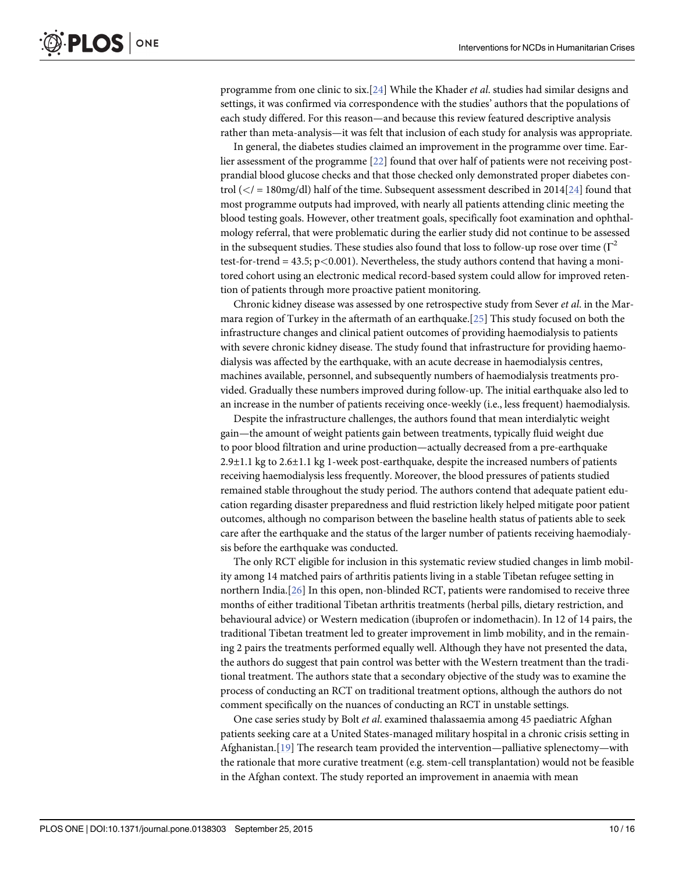programme from one clinic to six.[\[24\]](#page-14-0) While the Khader et al. studies had similar designs and settings, it was confirmed via correspondence with the studies' authors that the populations of each study differed. For this reason—and because this review featured descriptive analysis rather than meta-analysis—it was felt that inclusion of each study for analysis was appropriate.

In general, the diabetes studies claimed an improvement in the programme over time. Earlier assessment of the programme [[22](#page-14-0)] found that over half of patients were not receiving postprandial blood glucose checks and that those checked only demonstrated proper diabetes control  $\left\langle \langle \rangle = 180 \text{mg/dl} \right\rangle$  half of the time. Subsequent assessment described in 2014[[24\]](#page-14-0) found that most programme outputs had improved, with nearly all patients attending clinic meeting the blood testing goals. However, other treatment goals, specifically foot examination and ophthalmology referral, that were problematic during the earlier study did not continue to be assessed in the subsequent studies. These studies also found that loss to follow-up rose over time ( $\Gamma^2$ ) test-for-trend =  $43.5$ ; p<0.001). Nevertheless, the study authors contend that having a monitored cohort using an electronic medical record-based system could allow for improved retention of patients through more proactive patient monitoring.

Chronic kidney disease was assessed by one retrospective study from Sever et al. in the Marmara region of Turkey in the aftermath of an earthquake.[[25](#page-14-0)] This study focused on both the infrastructure changes and clinical patient outcomes of providing haemodialysis to patients with severe chronic kidney disease. The study found that infrastructure for providing haemodialysis was affected by the earthquake, with an acute decrease in haemodialysis centres, machines available, personnel, and subsequently numbers of haemodialysis treatments provided. Gradually these numbers improved during follow-up. The initial earthquake also led to an increase in the number of patients receiving once-weekly (i.e., less frequent) haemodialysis.

Despite the infrastructure challenges, the authors found that mean interdialytic weight gain—the amount of weight patients gain between treatments, typically fluid weight due to poor blood filtration and urine production—actually decreased from a pre-earthquake 2.9±1.1 kg to 2.6±1.1 kg 1-week post-earthquake, despite the increased numbers of patients receiving haemodialysis less frequently. Moreover, the blood pressures of patients studied remained stable throughout the study period. The authors contend that adequate patient education regarding disaster preparedness and fluid restriction likely helped mitigate poor patient outcomes, although no comparison between the baseline health status of patients able to seek care after the earthquake and the status of the larger number of patients receiving haemodialysis before the earthquake was conducted.

The only RCT eligible for inclusion in this systematic review studied changes in limb mobility among 14 matched pairs of arthritis patients living in a stable Tibetan refugee setting in northern India.[\[26](#page-14-0)] In this open, non-blinded RCT, patients were randomised to receive three months of either traditional Tibetan arthritis treatments (herbal pills, dietary restriction, and behavioural advice) or Western medication (ibuprofen or indomethacin). In 12 of 14 pairs, the traditional Tibetan treatment led to greater improvement in limb mobility, and in the remaining 2 pairs the treatments performed equally well. Although they have not presented the data, the authors do suggest that pain control was better with the Western treatment than the traditional treatment. The authors state that a secondary objective of the study was to examine the process of conducting an RCT on traditional treatment options, although the authors do not comment specifically on the nuances of conducting an RCT in unstable settings.

One case series study by Bolt et al. examined thalassaemia among 45 paediatric Afghan patients seeking care at a United States-managed military hospital in a chronic crisis setting in Afghanistan.[\[19\]](#page-13-0) The research team provided the intervention—palliative splenectomy—with the rationale that more curative treatment (e.g. stem-cell transplantation) would not be feasible in the Afghan context. The study reported an improvement in anaemia with mean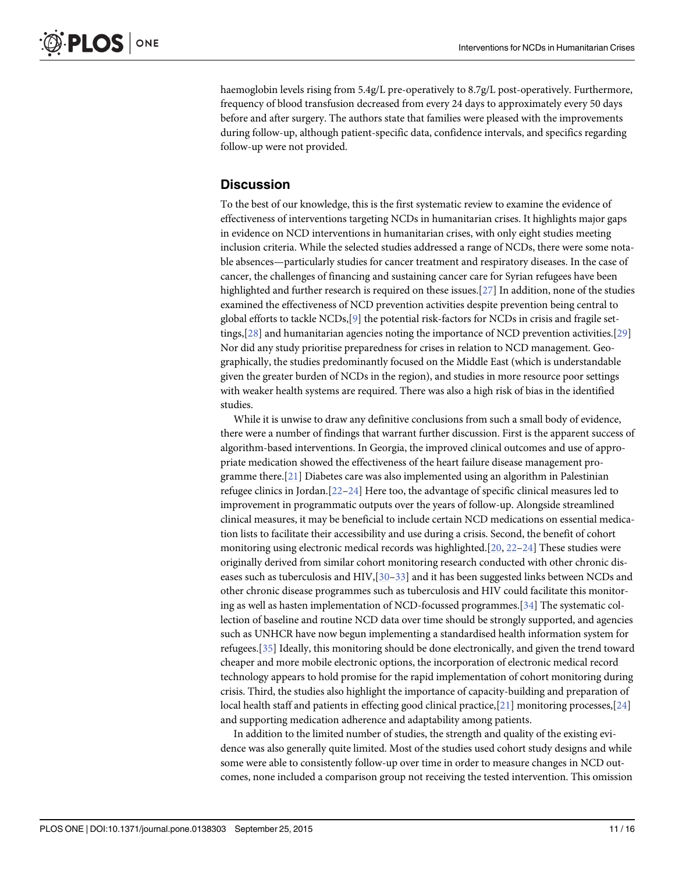<span id="page-10-0"></span>haemoglobin levels rising from 5.4g/L pre-operatively to 8.7g/L post-operatively. Furthermore, frequency of blood transfusion decreased from every 24 days to approximately every 50 days before and after surgery. The authors state that families were pleased with the improvements during follow-up, although patient-specific data, confidence intervals, and specifics regarding follow-up were not provided.

# **Discussion**

To the best of our knowledge, this is the first systematic review to examine the evidence of effectiveness of interventions targeting NCDs in humanitarian crises. It highlights major gaps in evidence on NCD interventions in humanitarian crises, with only eight studies meeting inclusion criteria. While the selected studies addressed a range of NCDs, there were some notable absences—particularly studies for cancer treatment and respiratory diseases. In the case of cancer, the challenges of financing and sustaining cancer care for Syrian refugees have been highlighted and further research is required on these issues.[[27](#page-14-0)] In addition, none of the studies examined the effectiveness of NCD prevention activities despite prevention being central to global efforts to tackle NCDs,[[9\]](#page-13-0) the potential risk-factors for NCDs in crisis and fragile settings,[[28\]](#page-14-0) and humanitarian agencies noting the importance of NCD prevention activities.[[29\]](#page-14-0) Nor did any study prioritise preparedness for crises in relation to NCD management. Geographically, the studies predominantly focused on the Middle East (which is understandable given the greater burden of NCDs in the region), and studies in more resource poor settings with weaker health systems are required. There was also a high risk of bias in the identified studies.

While it is unwise to draw any definitive conclusions from such a small body of evidence, there were a number of findings that warrant further discussion. First is the apparent success of algorithm-based interventions. In Georgia, the improved clinical outcomes and use of appropriate medication showed the effectiveness of the heart failure disease management programme there.[\[21\]](#page-14-0) Diabetes care was also implemented using an algorithm in Palestinian refugee clinics in Jordan.[\[22](#page-14-0)–[24](#page-14-0)] Here too, the advantage of specific clinical measures led to improvement in programmatic outputs over the years of follow-up. Alongside streamlined clinical measures, it may be beneficial to include certain NCD medications on essential medication lists to facilitate their accessibility and use during a crisis. Second, the benefit of cohort monitoring using electronic medical records was highlighted.[\[20](#page-14-0), [22](#page-14-0)–[24\]](#page-14-0) These studies were originally derived from similar cohort monitoring research conducted with other chronic diseases such as tuberculosis and HIV,[[30](#page-14-0)–[33](#page-14-0)] and it has been suggested links between NCDs and other chronic disease programmes such as tuberculosis and HIV could facilitate this monitoring as well as hasten implementation of NCD-focussed programmes.[[34](#page-14-0)] The systematic collection of baseline and routine NCD data over time should be strongly supported, and agencies such as UNHCR have now begun implementing a standardised health information system for refugees.[\[35\]](#page-14-0) Ideally, this monitoring should be done electronically, and given the trend toward cheaper and more mobile electronic options, the incorporation of electronic medical record technology appears to hold promise for the rapid implementation of cohort monitoring during crisis. Third, the studies also highlight the importance of capacity-building and preparation of local health staff and patients in effecting good clinical practice,[[21](#page-14-0)] monitoring processes,[[24](#page-14-0)] and supporting medication adherence and adaptability among patients.

In addition to the limited number of studies, the strength and quality of the existing evidence was also generally quite limited. Most of the studies used cohort study designs and while some were able to consistently follow-up over time in order to measure changes in NCD outcomes, none included a comparison group not receiving the tested intervention. This omission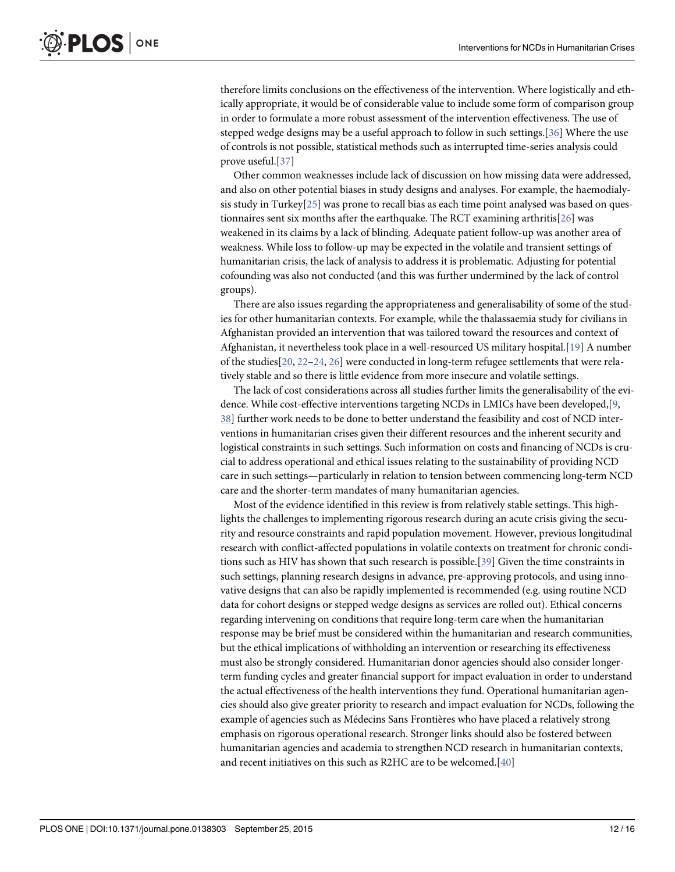<span id="page-11-0"></span>therefore limits conclusions on the effectiveness of the intervention. Where logistically and ethically appropriate, it would be of considerable value to include some form of comparison group in order to formulate a more robust assessment of the intervention effectiveness. The use of stepped wedge designs may be a useful approach to follow in such settings.[[36](#page-14-0)] Where the use of controls is not possible, statistical methods such as interrupted time-series analysis could prove useful.[\[37\]](#page-14-0)

Other common weaknesses include lack of discussion on how missing data were addressed, and also on other potential biases in study designs and analyses. For example, the haemodialysis study in Turkey[ $25$ ] was prone to recall bias as each time point analysed was based on questionnaires sent six months after the earthquake. The RCT examining arthritis[[26](#page-14-0)] was weakened in its claims by a lack of blinding. Adequate patient follow-up was another area of weakness. While loss to follow-up may be expected in the volatile and transient settings of humanitarian crisis, the lack of analysis to address it is problematic. Adjusting for potential cofounding was also not conducted (and this was further undermined by the lack of control groups).

There are also issues regarding the appropriateness and generalisability of some of the studies for other humanitarian contexts. For example, while the thalassaemia study for civilians in Afghanistan provided an intervention that was tailored toward the resources and context of Afghanistan, it nevertheless took place in a well-resourced US military hospital.[[19](#page-13-0)] A number of the studies  $[20, 22-24, 26]$  $[20, 22-24, 26]$  $[20, 22-24, 26]$  $[20, 22-24, 26]$  $[20, 22-24, 26]$  $[20, 22-24, 26]$  $[20, 22-24, 26]$  $[20, 22-24, 26]$  $[20, 22-24, 26]$  were conducted in long-term refugee settlements that were relatively stable and so there is little evidence from more insecure and volatile settings.

The lack of cost considerations across all studies further limits the generalisability of the evidence. While cost-effective interventions targeting NCDs in LMICs have been developed,[[9,](#page-13-0) [38\]](#page-14-0) further work needs to be done to better understand the feasibility and cost of NCD interventions in humanitarian crises given their different resources and the inherent security and logistical constraints in such settings. Such information on costs and financing of NCDs is crucial to address operational and ethical issues relating to the sustainability of providing NCD care in such settings—particularly in relation to tension between commencing long-term NCD care and the shorter-term mandates of many humanitarian agencies.

Most of the evidence identified in this review is from relatively stable settings. This highlights the challenges to implementing rigorous research during an acute crisis giving the security and resource constraints and rapid population movement. However, previous longitudinal research with conflict-affected populations in volatile contexts on treatment for chronic conditions such as HIV has shown that such research is possible.[\[39](#page-15-0)] Given the time constraints in such settings, planning research designs in advance, pre-approving protocols, and using innovative designs that can also be rapidly implemented is recommended (e.g. using routine NCD data for cohort designs or stepped wedge designs as services are rolled out). Ethical concerns regarding intervening on conditions that require long-term care when the humanitarian response may be brief must be considered within the humanitarian and research communities, but the ethical implications of withholding an intervention or researching its effectiveness must also be strongly considered. Humanitarian donor agencies should also consider longerterm funding cycles and greater financial support for impact evaluation in order to understand the actual effectiveness of the health interventions they fund. Operational humanitarian agencies should also give greater priority to research and impact evaluation for NCDs, following the example of agencies such as Médecins Sans Frontières who have placed a relatively strong emphasis on rigorous operational research. Stronger links should also be fostered between humanitarian agencies and academia to strengthen NCD research in humanitarian contexts, and recent initiatives on this such as R2HC are to be welcomed.[\[40\]](#page-15-0)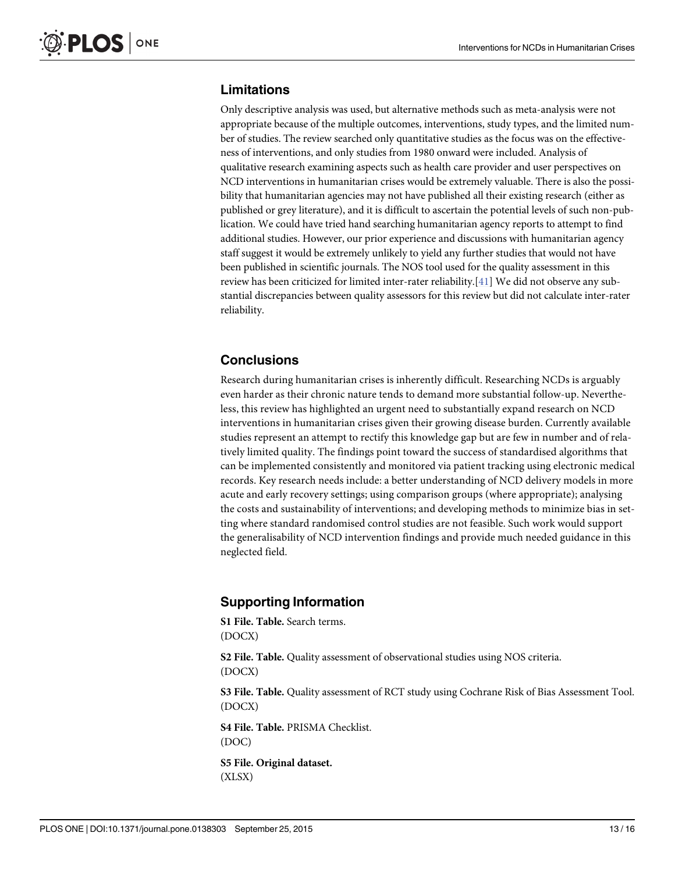# <span id="page-12-0"></span>Limitations

Only descriptive analysis was used, but alternative methods such as meta-analysis were not appropriate because of the multiple outcomes, interventions, study types, and the limited number of studies. The review searched only quantitative studies as the focus was on the effectiveness of interventions, and only studies from 1980 onward were included. Analysis of qualitative research examining aspects such as health care provider and user perspectives on NCD interventions in humanitarian crises would be extremely valuable. There is also the possibility that humanitarian agencies may not have published all their existing research (either as published or grey literature), and it is difficult to ascertain the potential levels of such non-publication. We could have tried hand searching humanitarian agency reports to attempt to find additional studies. However, our prior experience and discussions with humanitarian agency staff suggest it would be extremely unlikely to yield any further studies that would not have been published in scientific journals. The NOS tool used for the quality assessment in this review has been criticized for limited inter-rater reliability.[\[41\]](#page-15-0) We did not observe any substantial discrepancies between quality assessors for this review but did not calculate inter-rater reliability.

# **Conclusions**

Research during humanitarian crises is inherently difficult. Researching NCDs is arguably even harder as their chronic nature tends to demand more substantial follow-up. Nevertheless, this review has highlighted an urgent need to substantially expand research on NCD interventions in humanitarian crises given their growing disease burden. Currently available studies represent an attempt to rectify this knowledge gap but are few in number and of relatively limited quality. The findings point toward the success of standardised algorithms that can be implemented consistently and monitored via patient tracking using electronic medical records. Key research needs include: a better understanding of NCD delivery models in more acute and early recovery settings; using comparison groups (where appropriate); analysing the costs and sustainability of interventions; and developing methods to minimize bias in setting where standard randomised control studies are not feasible. Such work would support the generalisability of NCD intervention findings and provide much needed guidance in this neglected field.

#### Supporting Information

[S1 File.](http://www.plosone.org/article/fetchSingleRepresentation.action?uri=info:doi/10.1371/journal.pone.0138303.s001) Table. Search terms. (DOCX)

[S2 File.](http://www.plosone.org/article/fetchSingleRepresentation.action?uri=info:doi/10.1371/journal.pone.0138303.s002) Table. Quality assessment of observational studies using NOS criteria. (DOCX)

[S3 File.](http://www.plosone.org/article/fetchSingleRepresentation.action?uri=info:doi/10.1371/journal.pone.0138303.s003) Table. Quality assessment of RCT study using Cochrane Risk of Bias Assessment Tool. (DOCX)

[S4 File.](http://www.plosone.org/article/fetchSingleRepresentation.action?uri=info:doi/10.1371/journal.pone.0138303.s004) Table. PRISMA Checklist. (DOC)

[S5 File.](http://www.plosone.org/article/fetchSingleRepresentation.action?uri=info:doi/10.1371/journal.pone.0138303.s005) Original dataset. (XLSX)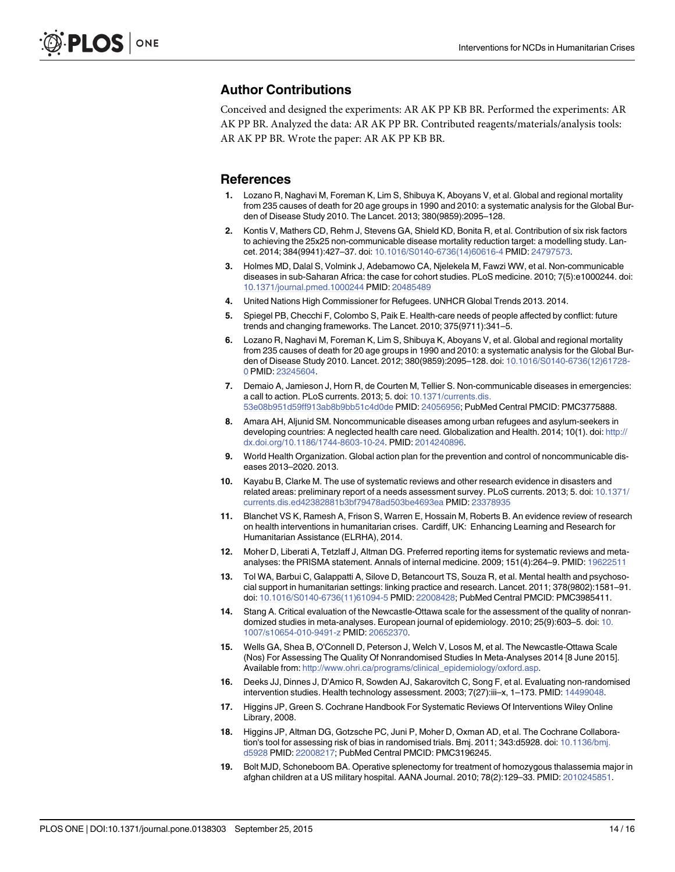# <span id="page-13-0"></span>Author Contributions

Conceived and designed the experiments: AR AK PP KB BR. Performed the experiments: AR AK PP BR. Analyzed the data: AR AK PP BR. Contributed reagents/materials/analysis tools: AR AK PP BR. Wrote the paper: AR AK PP KB BR.

#### References

- [1.](#page-1-0) Lozano R, Naghavi M, Foreman K, Lim S, Shibuya K, Aboyans V, et al. Global and regional mortality from 235 causes of death for 20 age groups in 1990 and 2010: a systematic analysis for the Global Burden of Disease Study 2010. The Lancet. 2013; 380(9859):2095–128.
- [2.](#page-1-0) Kontis V, Mathers CD, Rehm J, Stevens GA, Shield KD, Bonita R, et al. Contribution of six risk factors to achieving the 25x25 non-communicable disease mortality reduction target: a modelling study. Lan-cet. 2014; 384(9941):427-37. doi: [10.1016/S0140-6736\(14\)60616-4](http://dx.doi.org/10.1016/S0140-6736(14)60616-4) PMID: [24797573](http://www.ncbi.nlm.nih.gov/pubmed/24797573).
- [3.](#page-1-0) Holmes MD, Dalal S, Volmink J, Adebamowo CA, Njelekela M, Fawzi WW, et al. Non-communicable diseases in sub-Saharan Africa: the case for cohort studies. PLoS medicine. 2010; 7(5):e1000244. doi: [10.1371/journal.pmed.1000244](http://dx.doi.org/10.1371/journal.pmed.1000244) PMID: [20485489](http://www.ncbi.nlm.nih.gov/pubmed/20485489)
- [4.](#page-1-0) United Nations High Commissioner for Refugees. UNHCR Global Trends 2013. 2014.
- [5.](#page-1-0) Spiegel PB, Checchi F, Colombo S, Paik E. Health-care needs of people affected by conflict: future trends and changing frameworks. The Lancet. 2010; 375(9711):341–5.
- [6.](#page-1-0) Lozano R, Naghavi M, Foreman K, Lim S, Shibuya K, Aboyans V, et al. Global and regional mortality from 235 causes of death for 20 age groups in 1990 and 2010: a systematic analysis for the Global Burden of Disease Study 2010. Lancet. 2012; 380(9859):2095–128. doi: [10.1016/S0140-6736\(12\)61728-](http://dx.doi.org/10.1016/S0140-6736(12)61728-0) [0](http://dx.doi.org/10.1016/S0140-6736(12)61728-0) PMID: [23245604](http://www.ncbi.nlm.nih.gov/pubmed/23245604).
- [7.](#page-1-0) Demaio A, Jamieson J, Horn R, de Courten M, Tellier S. Non-communicable diseases in emergencies: a call to action. PLoS currents. 2013; 5. doi: [10.1371/currents.dis.](http://dx.doi.org/10.1371/currents.dis.53e08b951d59ff913ab8b9bb51c4d0de) [53e08b951d59ff913ab8b9bb51c4d0de](http://dx.doi.org/10.1371/currents.dis.53e08b951d59ff913ab8b9bb51c4d0de) PMID: [24056956;](http://www.ncbi.nlm.nih.gov/pubmed/24056956) PubMed Central PMCID: PMC3775888.
- [8.](#page-1-0) Amara AH, Aljunid SM. Noncommunicable diseases among urban refugees and asylum-seekers in developing countries: A neglected health care need. Globalization and Health. 2014; 10(1). doi: [http://](http://dx.doi.org/10.1186/1744-8603-10-24) [dx.doi.org/10.1186/1744-8603-10-24](http://dx.doi.org/10.1186/1744-8603-10-24). PMID: [2014240896.](http://www.ncbi.nlm.nih.gov/pubmed/2014240896)
- [9.](#page-1-0) World Health Organization. Global action plan for the prevention and control of noncommunicable diseases 2013–2020. 2013.
- [10.](#page-1-0) Kayabu B, Clarke M. The use of systematic reviews and other research evidence in disasters and related areas: preliminary report of a needs assessment survey. PLoS currents. 2013; 5. doi: [10.1371/](http://dx.doi.org/10.1371/currents.md.2cc69a1dae4be7dfe2bcb420024ea865) [currents.dis.ed42382881b3bf79478ad503be4693ea](http://dx.doi.org/10.1371/currents.md.2cc69a1dae4be7dfe2bcb420024ea865) PMID: [23378935](http://www.ncbi.nlm.nih.gov/pubmed/23378935)
- [11.](#page-2-0) Blanchet VS K, Ramesh A, Frison S, Warren E, Hossain M, Roberts B. An evidence review of research on health interventions in humanitarian crises. Cardiff, UK: Enhancing Learning and Research for Humanitarian Assistance (ELRHA), 2014.
- [12.](#page-2-0) Moher D, Liberati A, Tetzlaff J, Altman DG. Preferred reporting items for systematic reviews and metaanalyses: the PRISMA statement. Annals of internal medicine. 2009; 151(4):264–9. PMID: [19622511](http://www.ncbi.nlm.nih.gov/pubmed/19622511)
- [13.](#page-2-0) Tol WA, Barbui C, Galappatti A, Silove D, Betancourt TS, Souza R, et al. Mental health and psychosocial support in humanitarian settings: linking practice and research. Lancet. 2011; 378(9802):1581–91. doi: [10.1016/S0140-6736\(11\)61094-5](http://dx.doi.org/10.1016/S0140-6736(11)61094-5) PMID: [22008428;](http://www.ncbi.nlm.nih.gov/pubmed/22008428) PubMed Central PMCID: PMC3985411.
- [14.](#page-3-0) Stang A. Critical evaluation of the Newcastle-Ottawa scale for the assessment of the quality of nonrandomized studies in meta-analyses. European journal of epidemiology. 2010; 25(9):603–5. doi: [10.](http://dx.doi.org/10.1007/s10654-010-9491-z) [1007/s10654-010-9491-z](http://dx.doi.org/10.1007/s10654-010-9491-z) PMID: [20652370.](http://www.ncbi.nlm.nih.gov/pubmed/20652370)
- [15.](#page-3-0) Wells GA, Shea B, O'Connell D, Peterson J, Welch V, Losos M, et al. The Newcastle-Ottawa Scale (Nos) For Assessing The Quality Of Nonrandomised Studies In Meta-Analyses 2014 [8 June 2015]. Available from: [http://www.ohri.ca/programs/clinical\\_epidemiology/oxford.asp.](http://www.ohri.ca/programs/clinical_epidemiology/oxford.asp)
- 16. Deeks JJ, Dinnes J, D'Amico R, Sowden AJ, Sakarovitch C, Song F, et al. Evaluating non-randomised intervention studies. Health technology assessment. 2003; 7(27):iii–x, 1–173. PMID: [14499048.](http://www.ncbi.nlm.nih.gov/pubmed/14499048)
- [17.](#page-3-0) Higgins JP, Green S. Cochrane Handbook For Systematic Reviews Of Interventions Wiley Online Library, 2008.
- [18.](#page-3-0) Higgins JP, Altman DG, Gotzsche PC, Juni P, Moher D, Oxman AD, et al. The Cochrane Collaboration's tool for assessing risk of bias in randomised trials. Bmj. 2011; 343:d5928. doi: [10.1136/bmj.](http://dx.doi.org/10.1136/bmj.d5928) [d5928](http://dx.doi.org/10.1136/bmj.d5928) PMID: [22008217;](http://www.ncbi.nlm.nih.gov/pubmed/22008217) PubMed Central PMCID: PMC3196245.
- [19.](#page-3-0) Bolt MJD, Schoneboom BA. Operative splenectomy for treatment of homozygous thalassemia major in afghan children at a US military hospital. AANA Journal. 2010; 78(2):129–33. PMID: [2010245851.](http://www.ncbi.nlm.nih.gov/pubmed/2010245851)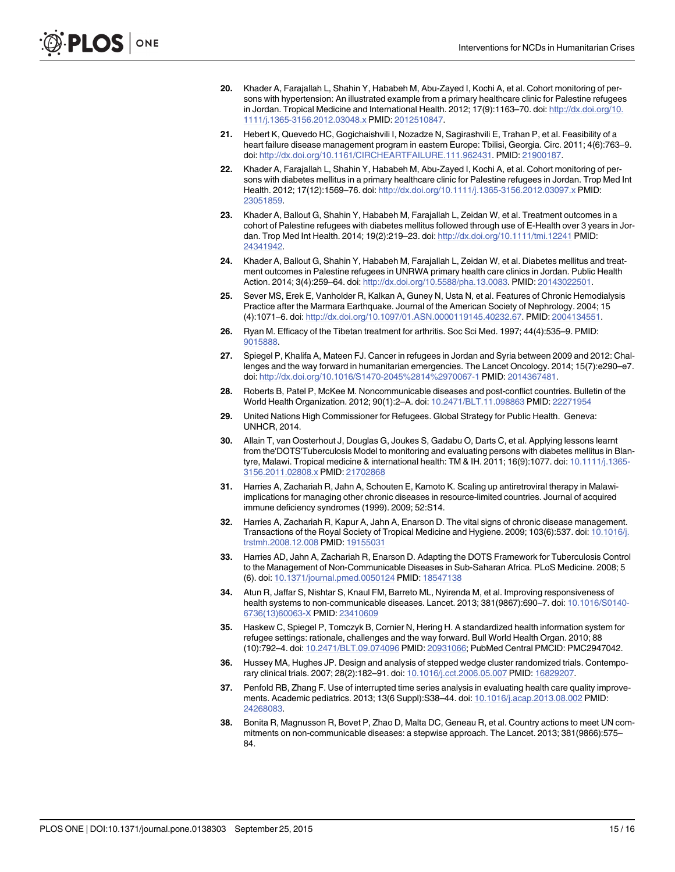- <span id="page-14-0"></span>[20.](#page-3-0) Khader A, Farajallah L, Shahin Y, Hababeh M, Abu-Zayed I, Kochi A, et al. Cohort monitoring of persons with hypertension: An illustrated example from a primary healthcare clinic for Palestine refugees in Jordan. Tropical Medicine and International Health. 2012; 17(9):1163–70. doi: [http://dx.doi.org/10.](http://dx.doi.org/10.1111/j.1365-3156.2012.03048.x) [1111/j.1365-3156.2012.03048.x](http://dx.doi.org/10.1111/j.1365-3156.2012.03048.x) PMID: [2012510847](http://www.ncbi.nlm.nih.gov/pubmed/2012510847).
- [21.](#page-3-0) Hebert K, Quevedo HC, Gogichaishvili I, Nozadze N, Sagirashvili E, Trahan P, et al. Feasibility of a heart failure disease management program in eastern Europe: Tbilisi, Georgia. Circ. 2011; 4(6):763–9. doi: <http://dx.doi.org/10.1161/CIRCHEARTFAILURE.111.962431>. PMID: [21900187](http://www.ncbi.nlm.nih.gov/pubmed/21900187).
- [22.](#page-3-0) Khader A, Farajallah L, Shahin Y, Hababeh M, Abu-Zayed I, Kochi A, et al. Cohort monitoring of persons with diabetes mellitus in a primary healthcare clinic for Palestine refugees in Jordan. Trop Med Int Health. 2012; 17(12):1569–76. doi: <http://dx.doi.org/10.1111/j.1365-3156.2012.03097.x> PMID: [23051859](http://www.ncbi.nlm.nih.gov/pubmed/23051859).
- [23.](#page-4-0) Khader A, Ballout G, Shahin Y, Hababeh M, Farajallah L, Zeidan W, et al. Treatment outcomes in a cohort of Palestine refugees with diabetes mellitus followed through use of E-Health over 3 years in Jordan. Trop Med Int Health. 2014; 19(2):219–23. doi: <http://dx.doi.org/10.1111/tmi.12241> PMID: [24341942](http://www.ncbi.nlm.nih.gov/pubmed/24341942).
- [24.](#page-3-0) Khader A, Ballout G, Shahin Y, Hababeh M, Farajallah L, Zeidan W, et al. Diabetes mellitus and treatment outcomes in Palestine refugees in UNRWA primary health care clinics in Jordan. Public Health Action. 2014; 3(4):259–64. doi: <http://dx.doi.org/10.5588/pha.13.0083>. PMID: [20143022501](http://www.ncbi.nlm.nih.gov/pubmed/20143022501).
- [25.](#page-3-0) Sever MS, Erek E, Vanholder R, Kalkan A, Guney N, Usta N, et al. Features of Chronic Hemodialysis Practice after the Marmara Earthquake. Journal of the American Society of Nephrology. 2004; 15 (4):1071–6. doi: <http://dx.doi.org/10.1097/01.ASN.0000119145.40232.67>. PMID: [2004134551.](http://www.ncbi.nlm.nih.gov/pubmed/2004134551)
- [26.](#page-3-0) Ryan M. Efficacy of the Tibetan treatment for arthritis. Soc Sci Med. 1997; 44(4):535–9. PMID: [9015888.](http://www.ncbi.nlm.nih.gov/pubmed/9015888)
- [27.](#page-10-0) Spiegel P, Khalifa A, Mateen FJ. Cancer in refugees in Jordan and Syria between 2009 and 2012: Challenges and the way forward in humanitarian emergencies. The Lancet Oncology. 2014; 15(7):e290–e7. doi: <http://dx.doi.org/10.1016/S1470-2045%2814%2970067-1> PMID: [2014367481.](http://www.ncbi.nlm.nih.gov/pubmed/2014367481)
- [28.](#page-10-0) Roberts B, Patel P, McKee M. Noncommunicable diseases and post-conflict countries. Bulletin of the World Health Organization. 2012; 90(1):2–A. doi: [10.2471/BLT.11.098863](http://dx.doi.org/10.2471/BLT.11.098863) PMID: [22271954](http://www.ncbi.nlm.nih.gov/pubmed/22271954)
- [29.](#page-10-0) United Nations High Commissioner for Refugees. Global Strategy for Public Health. Geneva: UNHCR, 2014.
- [30.](#page-10-0) Allain T, van Oosterhout J, Douglas G, Joukes S, Gadabu O, Darts C, et al. Applying lessons learnt from the'DOTS'Tuberculosis Model to monitoring and evaluating persons with diabetes mellitus in Blantyre, Malawi. Tropical medicine & international health: TM & IH. 2011; 16(9):1077. doi: [10.1111/j.1365-](http://dx.doi.org/10.1371/journal.pone.0137666) [3156.2011.02808.x](http://dx.doi.org/10.1371/journal.pone.0137666) PMID: [21702868](http://www.ncbi.nlm.nih.gov/pubmed/21702868)
- 31. Harries A, Zachariah R, Jahn A, Schouten E, Kamoto K. Scaling up antiretroviral therapy in Malawiimplications for managing other chronic diseases in resource-limited countries. Journal of acquired immune deficiency syndromes (1999). 2009; 52:S14.
- 32. Harries A, Zachariah R, Kapur A, Jahn A, Enarson D. The vital signs of chronic disease management. Transactions of the Royal Society of Tropical Medicine and Hygiene. 2009; 103(6):537. doi: [10.1016/j.](http://dx.doi.org/10.1016/j.trstmh.2008.12.008) [trstmh.2008.12.008](http://dx.doi.org/10.1016/j.trstmh.2008.12.008) PMID: [19155031](http://www.ncbi.nlm.nih.gov/pubmed/19155031)
- [33.](#page-10-0) Harries AD, Jahn A, Zachariah R, Enarson D. Adapting the DOTS Framework for Tuberculosis Control to the Management of Non-Communicable Diseases in Sub-Saharan Africa. PLoS Medicine. 2008; 5 (6). doi: [10.1371/journal.pmed.0050124](http://dx.doi.org/10.1371/journal.pmed.0050117) PMID: [18547138](http://www.ncbi.nlm.nih.gov/pubmed/18547138)
- [34.](#page-10-0) Atun R, Jaffar S, Nishtar S, Knaul FM, Barreto ML, Nyirenda M, et al. Improving responsiveness of health systems to non-communicable diseases. Lancet. 2013; 381(9867):690–7. doi: [10.1016/S0140-](http://dx.doi.org/10.1016/S0140-6736(13)60063-X) [6736\(13\)60063-X](http://dx.doi.org/10.1016/S0140-6736(13)60063-X) PMID: [23410609](http://www.ncbi.nlm.nih.gov/pubmed/23410609)
- [35.](#page-10-0) Haskew C, Spiegel P, Tomczyk B, Cornier N, Hering H. A standardized health information system for refugee settings: rationale, challenges and the way forward. Bull World Health Organ. 2010; 88 (10):792–4. doi: [10.2471/BLT.09.074096](http://dx.doi.org/10.2471/BLT.09.074096) PMID: [20931066;](http://www.ncbi.nlm.nih.gov/pubmed/20931066) PubMed Central PMCID: PMC2947042.
- [36.](#page-11-0) Hussey MA, Hughes JP. Design and analysis of stepped wedge cluster randomized trials. Contemporary clinical trials. 2007; 28(2):182–91. doi: [10.1016/j.cct.2006.05.007](http://dx.doi.org/10.1016/j.cct.2006.05.007) PMID: [16829207.](http://www.ncbi.nlm.nih.gov/pubmed/16829207)
- [37.](#page-11-0) Penfold RB, Zhang F. Use of interrupted time series analysis in evaluating health care quality improvements. Academic pediatrics. 2013; 13(6 Suppl):S38–44. doi: [10.1016/j.acap.2013.08.002](http://dx.doi.org/10.1016/j.acap.2013.08.002) PMID: [24268083](http://www.ncbi.nlm.nih.gov/pubmed/24268083).
- [38.](#page-11-0) Bonita R, Magnusson R, Bovet P, Zhao D, Malta DC, Geneau R, et al. Country actions to meet UN commitments on non-communicable diseases: a stepwise approach. The Lancet. 2013; 381(9866):575– 84.